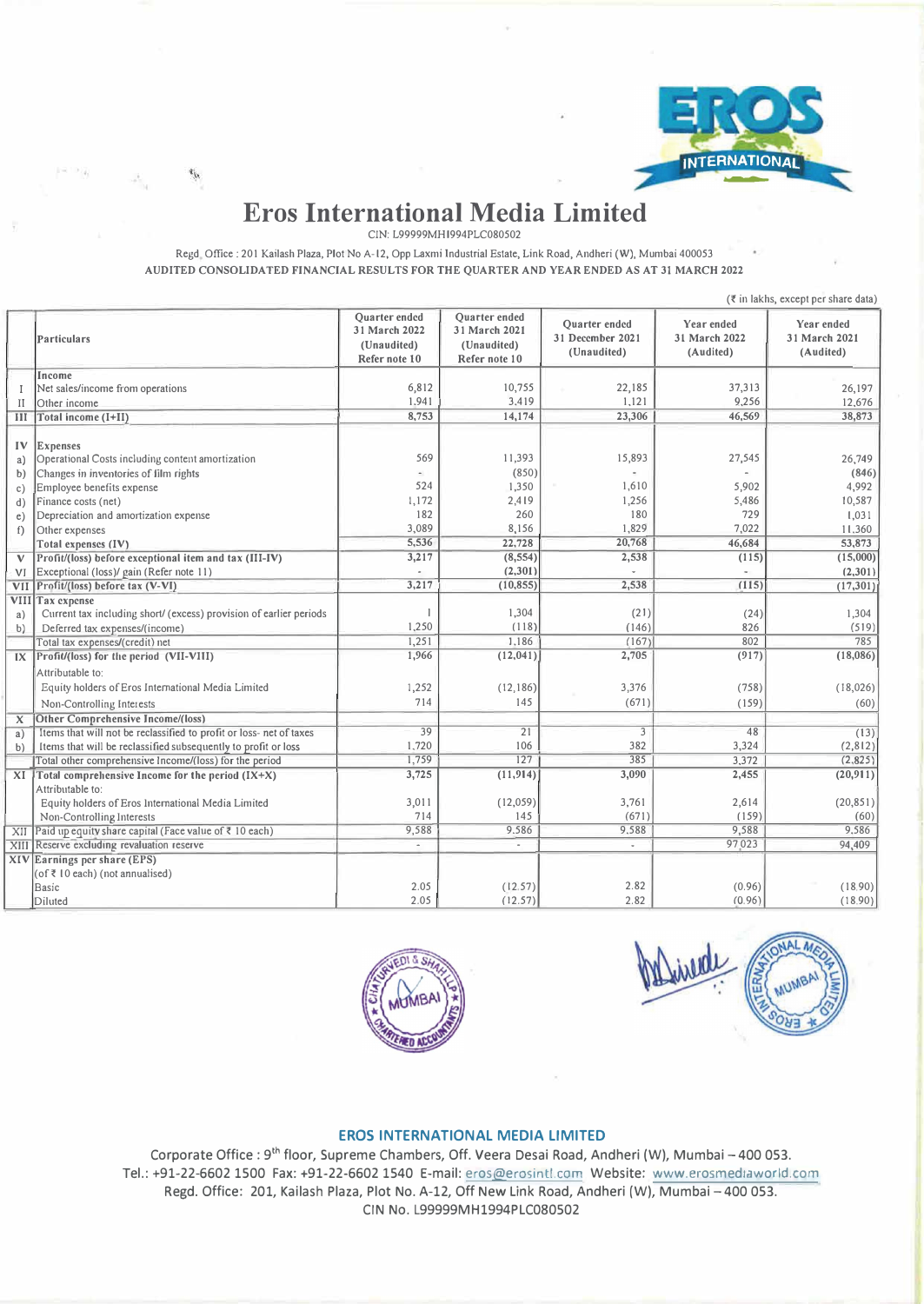

# **Eros International Media Limited**

 $\eta_{\rm s}$ 

CIN:L99999MHl994PLC080502

Regd Office: 201 Kailash Plaza, Plot No A-12, Opp Laxmi Industrial Estate, Link Road, Andheri **(W),** Mumbai 400053 **AUDITED CONSOLIDATED FINANCIAL RESULTS FOR THE QUARTER AND YEAR ENDED AS AT 31 MARCH 2022** 

|                |                                                                      |                                                                |                                                                       |                                                         |                                          | (₹ in lakhs, except per share data)      |
|----------------|----------------------------------------------------------------------|----------------------------------------------------------------|-----------------------------------------------------------------------|---------------------------------------------------------|------------------------------------------|------------------------------------------|
|                | <b>Particulars</b>                                                   | Quarter ended<br>31 March 2022<br>(Unaudited)<br>Refer note 10 | <b>Quarter</b> ended<br>31 March 2021<br>(Unaudited)<br>Refer note 10 | <b>Ouarter</b> ended<br>31 December 2021<br>(Unaudited) | Year ended<br>31 March 2022<br>(Audited) | Year ended<br>31 March 2021<br>(Audited) |
|                | Income                                                               |                                                                |                                                                       |                                                         |                                          |                                          |
|                | Net sales/income from operations                                     | 6,812                                                          | 10,755                                                                | 22,185                                                  | 37,313                                   | 26,197                                   |
| $_{\text{II}}$ | Other income                                                         | 1,941                                                          | 3,419                                                                 | 1,121                                                   | 9,256                                    | 12,676                                   |
|                | III Total income (I+II)                                              | 8,753                                                          | 14,174                                                                | 23,306                                                  | 46,569                                   | 38,873                                   |
| I <sup>V</sup> | <b>Expenses</b>                                                      |                                                                |                                                                       |                                                         |                                          |                                          |
| a)             | Operational Costs including content amortization                     | 569                                                            | 11,393                                                                | 15,893                                                  | 27,545                                   | 26,749                                   |
| b)             | Changes in inventories of film rights                                | ÷.                                                             | (850)                                                                 |                                                         |                                          | (846)                                    |
| $\circ$ )      | Employee benefits expense                                            | 524                                                            | 1,350                                                                 | 1,610                                                   | 5,902                                    | 4,992                                    |
| d)             | Finance costs (net)                                                  | 1,172                                                          | 2,419                                                                 | 1,256                                                   | 5,486                                    | 10,587                                   |
| e)             | Depreciation and amortization expense                                | 182                                                            | 260                                                                   | 180                                                     | 729                                      | 1,031                                    |
| f)             | Other expenses                                                       | 3,089                                                          | 8,156                                                                 | 1,829                                                   | 7,022                                    | 11,360                                   |
|                | Total expenses (IV)                                                  | 5,536                                                          | 22,728                                                                | 20,768                                                  | 46,684                                   | 53,873                                   |
| $\mathbf{V}$   | Profit/(loss) before exceptional item and tax (III-IV)               | 3,217                                                          | (8, 554)                                                              | 2,538                                                   | (115)                                    | (15,000)                                 |
| VI             | Exceptional (loss)/ gain (Refer note 11)                             |                                                                | (2, 301)                                                              |                                                         | $\tilde{\phantom{a}}$                    | (2, 301)                                 |
|                | VII Profit/(loss) before tax (V-VI)                                  | 3,217                                                          | (10, 855)                                                             | 2,538                                                   | (115)                                    | (17, 301)                                |
|                | VIII Tax expense                                                     |                                                                |                                                                       |                                                         |                                          |                                          |
| a)             | Current tax including short/ (excess) provision of earlier periods   |                                                                | 1,304                                                                 | (21)                                                    | (24)                                     | 1,304                                    |
| b)             | Deferred tax expenses/(income)                                       | 1,250                                                          | (118)                                                                 | (146)                                                   | 826                                      | (519)                                    |
|                | Total tax expenses/(credit) net                                      | 1,251                                                          | 1,186                                                                 | (167)                                                   | 802                                      | 785                                      |
|                | IX Profit/(loss) for the period (VII-VIII)                           | 1,966                                                          | (12,041)                                                              | 2,705                                                   | (917)                                    | (18,086)                                 |
|                | Attributable to:                                                     |                                                                |                                                                       |                                                         |                                          |                                          |
|                | Equity holders of Eros International Media Limited                   | 1,252                                                          | (12, 186)                                                             | 3,376                                                   | (758)                                    | (18,026)                                 |
|                | Non-Controlling Interests                                            | 714                                                            | 145                                                                   | (671)                                                   | (159)                                    | (60)                                     |
| X              | Other Comprehensive Income/(loss)                                    |                                                                |                                                                       |                                                         |                                          |                                          |
| a)             | Items that will not be reclassified to profit or loss- net of taxes  | 39                                                             | 21                                                                    | 3                                                       | 48                                       | (13)                                     |
| b)             | Items that will be reclassified subsequently to profit or loss       | 1,720                                                          | 106                                                                   | 382                                                     | 3,324                                    | (2,812)                                  |
|                | Total other comprehensive Income/(loss) for the period               | 1,759                                                          | 127                                                                   | 385                                                     | 3,372                                    | (2,825)                                  |
|                | $XI$ Total comprehensive Income for the period (IX+X)                | 3,725                                                          | (11, 914)                                                             | 3,090                                                   | 2,455                                    | (20, 911)                                |
|                | Attributable to:                                                     |                                                                |                                                                       |                                                         |                                          |                                          |
|                | Equity holders of Eros International Media Limited                   | 3,011                                                          | (12,059)                                                              | 3,761                                                   | 2,614                                    | (20, 851)                                |
|                | Non-Controlling Interests                                            | 714                                                            | 145                                                                   | (671)                                                   | (159)                                    | (60)                                     |
|                | $XII$ Paid up equity share capital (Face value of $\bar{z}$ 10 each) | 9,588                                                          | 9,586                                                                 | 9,588                                                   | 9,588                                    | 9.586                                    |
|                | XIII Reserve excluding revaluation reserve                           | $\overline{\phantom{a}}$                                       |                                                                       |                                                         | 97.023                                   | 94,409                                   |
|                | $XIV$ Earnings per share (EPS)                                       |                                                                |                                                                       |                                                         |                                          |                                          |
|                | (of ₹ 10 each) (not annualised)                                      |                                                                |                                                                       |                                                         |                                          |                                          |
|                | Basic                                                                | 2.05                                                           | (12.57)                                                               | 2.82                                                    | (0.96)                                   | (18.90)                                  |
|                | Diluted                                                              | 2.05                                                           | (12.57)                                                               | 2.82                                                    | (0.96)                                   | (18.90)                                  |





#### **EROS INTERNATIONAL MEDIA LIMITED**

Corporate Office : 9<sup>th</sup> floor, Supreme Chambers, Off. Veera Desai Road, Andheri (W), Mumbai - 400 053. Tel.: +91-22-6602 1500 Fax: +91-22-6602 1540 E-mail: eros@erosintl.com Website: www.erosmed1aworld.com Regd. Office: 201, Kailash Plaza, Plot No. A-12, Off New Link Road, Andheri (W), Mumbai - 400 053. CIN No. L99999MH1994PLC080502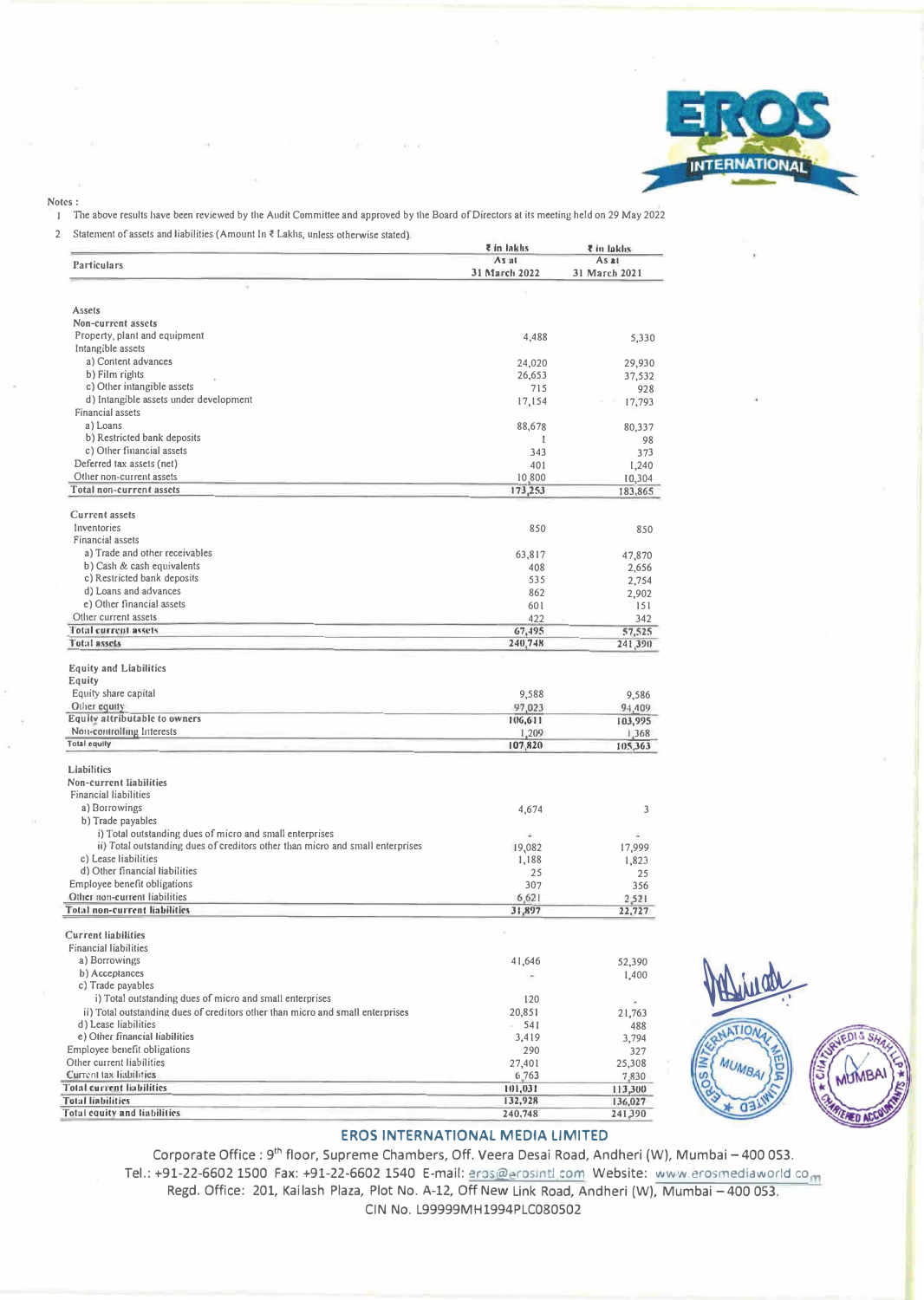

#### Notes:

- <sup>J</sup>111e above results have been reviewed by the Audit Committee and approved by the Board of Directors at its meeting held on 29 May 2022
- 2 Statement of assets and liabilities (Amount In ₹ Lakhs, unless otherwise stated).

|                                                                                | ₹ in lakhs       | ₹ in lakhs       |
|--------------------------------------------------------------------------------|------------------|------------------|
| Particulars                                                                    | As <sub>15</sub> | As at            |
|                                                                                | 31 March 2022    | 31 March 2021    |
|                                                                                |                  |                  |
| Assets                                                                         |                  |                  |
| Non-current assets                                                             |                  |                  |
| Property, plant and equipment                                                  | 4,488            | 5,330            |
| Intangible assets                                                              |                  |                  |
| a) Content advances                                                            | 24,020           | 29,930           |
| b) Film rights                                                                 | 26,653           | 37,532           |
| c) Other intangible assets                                                     | 715              | 928              |
| d) Intangible assets under development                                         | 17,154           | 17,793           |
| Financial assets                                                               |                  |                  |
| a) Loans                                                                       | 88,678           | 80,337           |
| b) Restricted bank deposits                                                    | 1                | 98               |
| c) Other financial assets                                                      | 343              | 373              |
| Deferred tax assets (net)                                                      | 401              | 1,240            |
| Other non-current assets                                                       | 10,800           | 10,304           |
| Total non-current assets                                                       | 173,253          | 183,865          |
| Current assets                                                                 |                  |                  |
| Inventories                                                                    | 850              | 850              |
| Financial assets                                                               |                  |                  |
| a) Trade and other receivables                                                 | 63,817           |                  |
| b) Cash & cash equivalents                                                     | 408              | 47,870           |
| c) Restricted bank deposits                                                    | 535              | 2,656<br>2,754   |
| d) Loans and advances                                                          | 862              | 2,902            |
| e) Other financial assets                                                      | 601              | 151              |
| Other current assets                                                           | 422              | 342              |
| Total current assets                                                           | 67,495           | 57,525           |
| Total assets                                                                   | 240,748          | 241,390          |
| <b>Equity and Liabilitics</b>                                                  |                  |                  |
| Equity                                                                         |                  |                  |
| Equity share capital                                                           | 9,588            | 9,586            |
| Other equity                                                                   | 97,023           | 94,409           |
| Equity attributable to owners<br>Non-controlling Interests                     | 106,611          | 103,995          |
| <b>Total equily</b>                                                            | 1,209<br>107,820 | 1,368<br>105,363 |
|                                                                                |                  |                  |
| <b>Liabilitics</b>                                                             |                  |                  |
| Non-current liabilities                                                        |                  |                  |
| Financial liabilities                                                          |                  |                  |
| a) Borrowings                                                                  | 4,674            | 3                |
| b) Trade payables                                                              |                  |                  |
| i) Total outstanding dues of micro and small enterprises                       | ÷                |                  |
| ii) Total outstanding dues of creditors other than micro and small enterprises | 19,082           | 17,999           |
| c) Lease liabilities                                                           | 1,188            | 1,823            |
| d) Other financial liabilities                                                 | 25               | 25               |
| Employee benefit obligations                                                   | 307              | 356              |
| Other non-current liabilities                                                  | 6,621            | 2,521            |
| <b>Total non-current liabilities</b>                                           | 31,897           | 22,727           |
| <b>Current liabilities</b>                                                     |                  |                  |
| <b>Financial liabilities</b>                                                   |                  |                  |
| a) Borrowings                                                                  | 41,646           | 52,390           |
| b) Acceptances                                                                 |                  | 1,400            |
| c) Trade payables                                                              |                  |                  |
| i) Total outstanding dues of micro and small enterprises                       | 120              |                  |
| ii) Total outstanding dues of creditors other than micro and small enterprises | 20,851           | ٠<br>21,763      |
| d) Lease liabilities                                                           | 541              | 488              |
| e) Other financial liabilities                                                 | 3,419            | 3,794            |
| Employee benefit obligations                                                   | 290              | 327              |
| Other current liabilities                                                      | 27,401           | 25,308           |
| Current tax liabilities                                                        | 6.763            | 7.830            |
| <b>Total current liabilities</b>                                               | 101,031          | 113,300          |
| <b>Total liabilities</b>                                                       | 132,928          | 136,027          |
|                                                                                | 240,748          |                  |



#### **EROS INTERNATIONAL MEDIA LIMITED**

Corporate Office : 9<sup>th</sup> floor, Supreme Chambers, Off. Veera Desai Road, Andheri (W), Mumbai – 400 0S3. Tel.: +91-22-6602 1500 Fax: +91-22-6602 1540 E-mail: eros@erosintl com Website: www.erosmediaworld.com Regd. Office: 201, Kailash Plaza, Plot No. A-12, Off New Link Road, Andheri (W), Mumbai - 400 053. CIN No. L99999MH1994PLC080502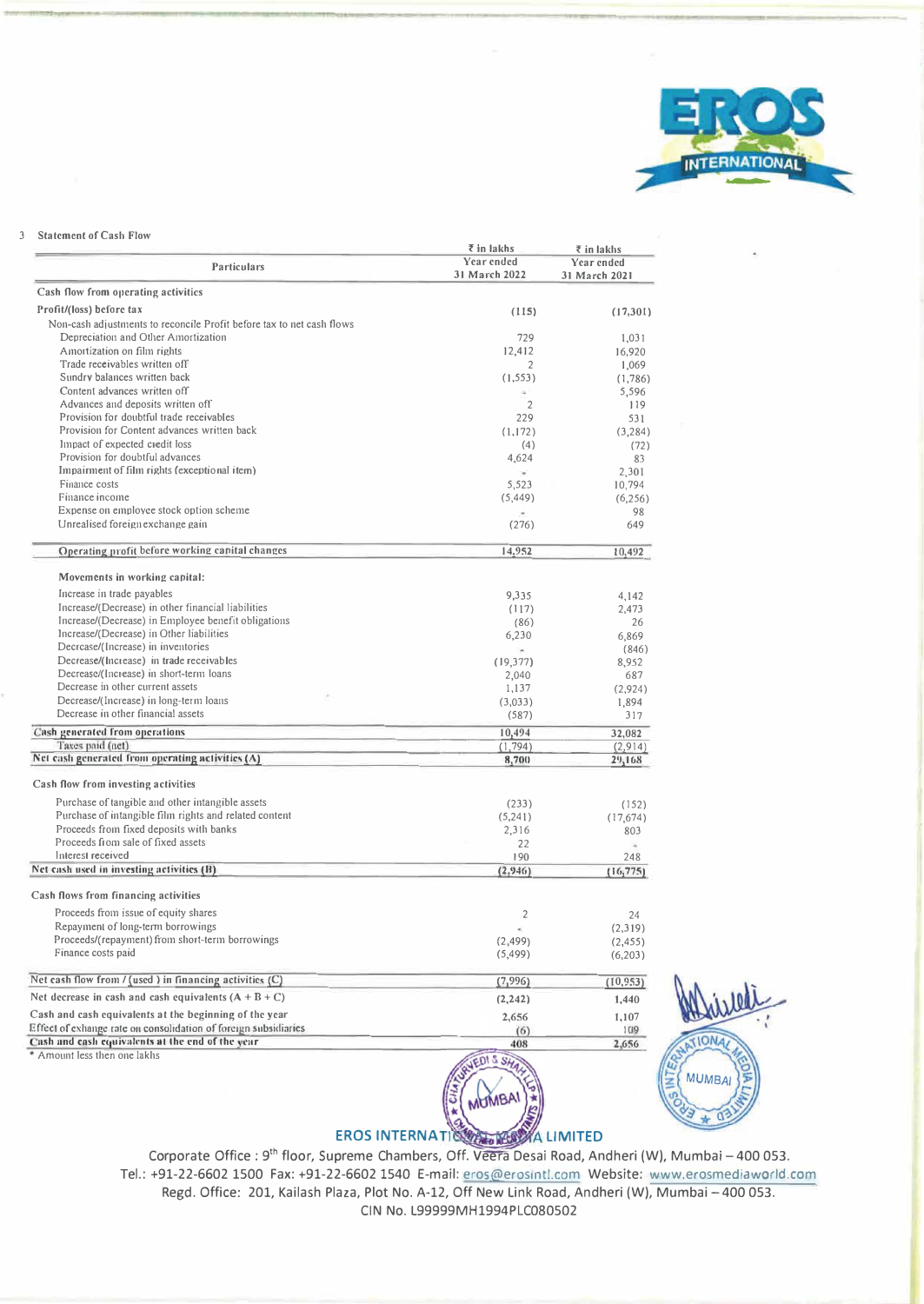

#### 3 **Statement of Cash Flow**

| Year ended<br>31 March 2022<br>(115)<br>729<br>12,412<br>2<br>(1, 553)<br>$\overline{c}$<br>229 | Year ended<br>31 March 2021<br>(17,301)<br>1,031<br>16,920<br>1,069<br>(1,786)<br>5,596                                                                                                                                                       |
|-------------------------------------------------------------------------------------------------|-----------------------------------------------------------------------------------------------------------------------------------------------------------------------------------------------------------------------------------------------|
|                                                                                                 |                                                                                                                                                                                                                                               |
|                                                                                                 |                                                                                                                                                                                                                                               |
|                                                                                                 |                                                                                                                                                                                                                                               |
|                                                                                                 |                                                                                                                                                                                                                                               |
|                                                                                                 |                                                                                                                                                                                                                                               |
|                                                                                                 |                                                                                                                                                                                                                                               |
|                                                                                                 |                                                                                                                                                                                                                                               |
|                                                                                                 |                                                                                                                                                                                                                                               |
|                                                                                                 |                                                                                                                                                                                                                                               |
|                                                                                                 | 119                                                                                                                                                                                                                                           |
|                                                                                                 | 531                                                                                                                                                                                                                                           |
|                                                                                                 | (3, 284)                                                                                                                                                                                                                                      |
| (4)                                                                                             | (72)                                                                                                                                                                                                                                          |
| 4,624                                                                                           | 83                                                                                                                                                                                                                                            |
| $\mathcal{L}_{\mathcal{F}}$                                                                     | 2,301                                                                                                                                                                                                                                         |
| 5,523                                                                                           | 10,794                                                                                                                                                                                                                                        |
|                                                                                                 | (6, 256)                                                                                                                                                                                                                                      |
|                                                                                                 | 98                                                                                                                                                                                                                                            |
| (276)                                                                                           | 649                                                                                                                                                                                                                                           |
|                                                                                                 |                                                                                                                                                                                                                                               |
|                                                                                                 | 10,492                                                                                                                                                                                                                                        |
|                                                                                                 |                                                                                                                                                                                                                                               |
|                                                                                                 | 4,142                                                                                                                                                                                                                                         |
|                                                                                                 | 2,473                                                                                                                                                                                                                                         |
|                                                                                                 | 26                                                                                                                                                                                                                                            |
|                                                                                                 | 6,869                                                                                                                                                                                                                                         |
|                                                                                                 | (846)                                                                                                                                                                                                                                         |
|                                                                                                 | 8,952                                                                                                                                                                                                                                         |
|                                                                                                 | 687                                                                                                                                                                                                                                           |
|                                                                                                 | (2,924)                                                                                                                                                                                                                                       |
|                                                                                                 | 1,894                                                                                                                                                                                                                                         |
|                                                                                                 | 317                                                                                                                                                                                                                                           |
| 10,494                                                                                          | 32,082                                                                                                                                                                                                                                        |
| (1, 794)                                                                                        | (2,914)                                                                                                                                                                                                                                       |
| 8,700                                                                                           | 29,168                                                                                                                                                                                                                                        |
|                                                                                                 |                                                                                                                                                                                                                                               |
|                                                                                                 |                                                                                                                                                                                                                                               |
|                                                                                                 | (152)                                                                                                                                                                                                                                         |
|                                                                                                 | (17,674)                                                                                                                                                                                                                                      |
|                                                                                                 | 803                                                                                                                                                                                                                                           |
|                                                                                                 | $\sim$<br>248                                                                                                                                                                                                                                 |
|                                                                                                 | (16, 775)                                                                                                                                                                                                                                     |
|                                                                                                 |                                                                                                                                                                                                                                               |
|                                                                                                 |                                                                                                                                                                                                                                               |
|                                                                                                 | 24                                                                                                                                                                                                                                            |
| $\sim$                                                                                          | (2,319)                                                                                                                                                                                                                                       |
|                                                                                                 | (2, 455)                                                                                                                                                                                                                                      |
|                                                                                                 | (6,203)                                                                                                                                                                                                                                       |
|                                                                                                 | (10, 953)                                                                                                                                                                                                                                     |
|                                                                                                 | 1,440                                                                                                                                                                                                                                         |
|                                                                                                 | 1,107                                                                                                                                                                                                                                         |
|                                                                                                 | 109                                                                                                                                                                                                                                           |
| 408                                                                                             | 2,656                                                                                                                                                                                                                                         |
| EDI & SHA                                                                                       |                                                                                                                                                                                                                                               |
|                                                                                                 | (1, 172)<br>(5, 449)<br>14,952<br>9,335<br>(117)<br>(86)<br>6,230<br>(19, 377)<br>2,040<br>1,137<br>(3,033)<br>(587)<br>(233)<br>(5,241)<br>2,316<br>22<br>190<br>(2,946)<br>2<br>(2, 499)<br>(5, 499)<br>(7,996)<br>(2, 242)<br>2,656<br>(6) |



# **EROS INTERNATION A LIMITED**

Corporate Office : 9<sup>th</sup> floor, Supreme Chambers, Off. Veera Desai Road, Andheri (W), Mumbai – 400 053. Tel.: +91-22-6602 1500 Fax: +91-22-6602 1540 E-mail: eros@erosmtLcom Website: www.erosmediaworld.com Regd. Office: 201, Kailash Plaza, Plot No. A-12, Off New Link Road, Andheri (W), Mumbai - 400 053. CIN No. L99999MH1994PLC080502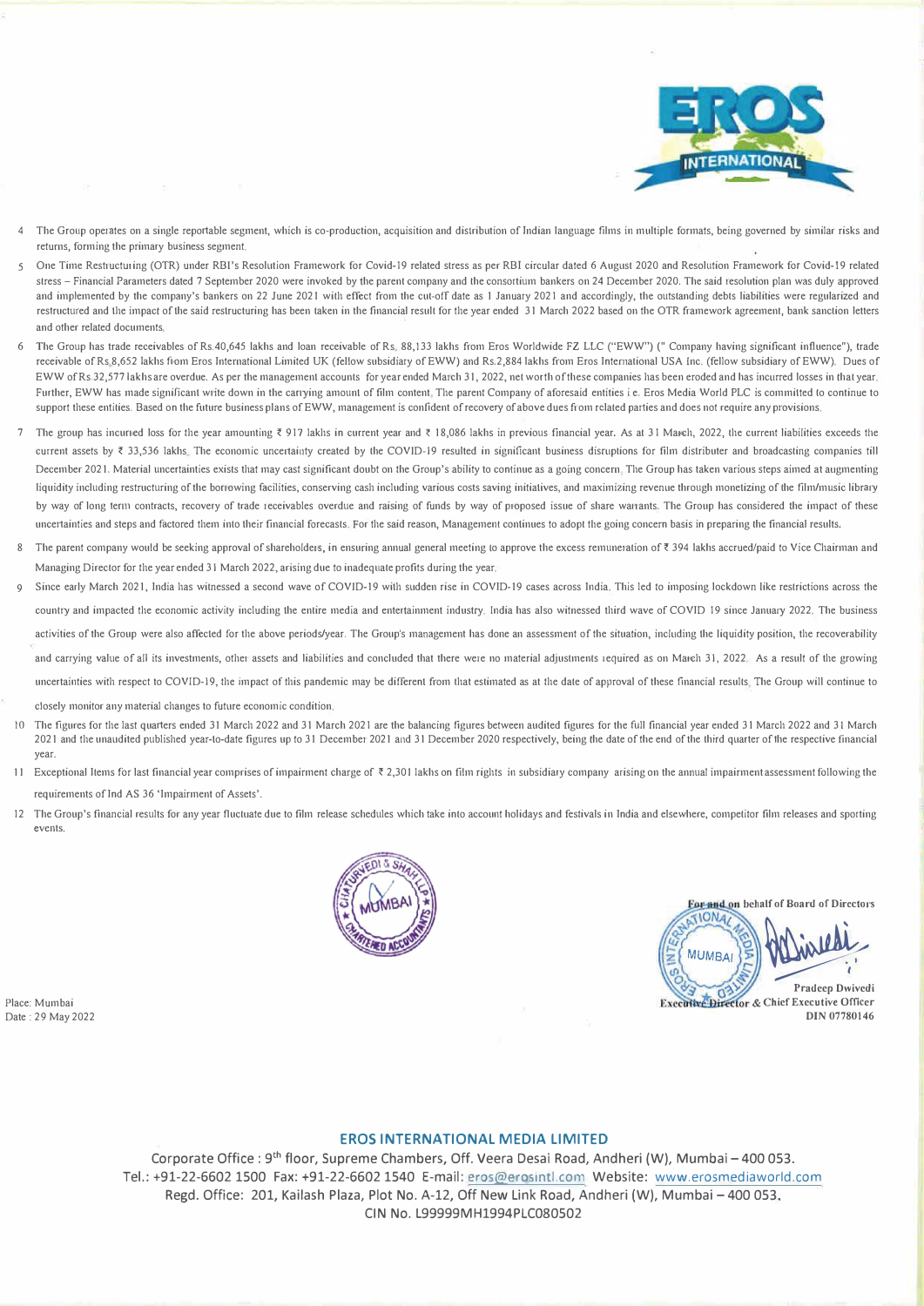

- 4 The Group operates on a single reportable segment, which is co-production, acquisition and distribution of Indian language films in multiple formats, being governed by similar risks and returns, forming the primary business segment.
- One Time Restructuring (OTR) under RBI's Resolution Framework for Covid-19 related stress as per RBI circular dated 6 August 2020 and Resolution Framework for Covid-19 related stress - Financial Parameters dated 7 September 2020 were invoked by the parent company and the consortium bankers on 24 December 2020. The said resolution plan was duly approved and implemented by the company's bankers on 22 June 2021 with effect from the cut-off date as 1 January 2021 and accordingly, the outstanding debts liabilities were regularized and restructured and the impact of the said restructuring has been taken in the financial result for the year ended 31 March 2022 based on the OTR framework agreement, bank sanction letters and other related documents,
- 6 The Group has trade receivables of Rs,40,645 lakhs and loan receivable of Rs 88,133 lakhs from Eros Worldwide FZ LLC ("EWW") (" Company having significant influence"), trade receivable of Rs 8,652 lakhs from Eros International Limited UK (fellow subsidiary of EWW) and Rs.2,884 lakhs from Eros International USA Inc. (fellow subsidiary of EWW). Dues of EWW of Rs.32,577 lakhs are overdue. As per the management accounts for year ended March 31, 2022, net worth of these companies has been eroded and has incurred losses in that year. Further, EWW has made significant write down in the carrying amount of film content. The parent Company of aforesaid entities i.e. Eros Media World PLC is committed to continue to support these entities. Based on the future business plans of EWW, management is confident of recovery of above dues from related parties and does not require any provisions.
- The group has incurred loss for the year amounting ₹ 917 lakhs in current year and ₹ 18,086 lakhs in previous financial year. As at 31 March, 2022, the current liabilities exceeds the current assets by ₹ 33,536 lakhs. The economic uncertainty created by the COVID-19 resulted in significant business disruptions for film distributer and broadcasting companies till December 2021. Material uncertainties exists that may cast significant doubt on the Group's ability to continue as a going concern The Group has taken various steps aimed at augmenting liquidity including restructuring of the bortowing facilities, conserving cash including various costs saving initiatives, and maximizing revenue through monetizing of the film/music library by way of long term contracts, recovery of trade receivables overdue and raising of funds by way of proposed issue of share warrants. The Group has considered the impact of these uncertainties and steps and factored them into their financial forecasts. For the said reason, Management continues to adopt the going concern basis in preparing the financial results.
- The parent company would be seeking approval of shareholders, in ensuring annual general meeting to approve the excess remuneration of  $\bar{\tau}$  394 lakhs accrued/paid to Vice Chairman and Managing Director for the year ended 31 March 2022, arising due to inadequate profits during the year.
- Since early March 2021, India has witnessed a second wave of COVID-19 with sudden rise in COVID-19 cases across India. This led to imposing lockdown like restrictions across the country and impacted the economic activity including the entire media and entertainment industry. India has also witnessed third wave of COVID 19 since January 2022. The business activities of the Group were also affected for the above periods/year. The Group's management has done an assessment of the situation, including the liquidity position, the recoverability and carrying value of all its investments, other assets and liabilities and concluded that there were no material adjustments required as on March 31, 2022. As a result of the growing uncertainties with respect to COVJD-19, the impact of this pandemic may be different from that estimated as at the date of approval of these financial results The Group will continue to closely monitor any material changes to future economic condition.
- IO The figures for the last quarters ended 31 March 2022 and 31 March 2021 are the balancing figures between audited figures for the full financial year ended 31 March 2022 and 31 March 2021 and the unaudited published year-to-date figures up to 31 December 2021 and 31 December 2020 respectively, being the date of the end of the third quarter of the respective financial year.
- **11** Exceptional Items for last financial year comprises of impairment charge of *t* 2,30 I lakhs on film rights in subsidiary company arising on the annual impairment assessment following the requirements of Ind AS 36 'Impairment of Assets'.
- 12 The Group's financial results for any year fluctuate due to film release schedules which take into account holidays and festivals in India and elsewhere, competitor film releases and sporting **events.**



Place: Mumbai Date : 29 May 2022

**For and on** behalf of Board of Directors TION<sub>4</sub> **MUMBAI** 

Pradeep Dwivedi **Chief Executive Officer**<br> **Chief Executive Officer DIN 07780146** 

#### **EROS INTERNATIONAL MEDIA LIMITED**

**Corporate Office : 9th floor, Supreme Chambers, Off. Veera Desai Road, Andheri (W), Mumbai - 400 053. Tel.: +91-22-6602 1500 Fax: +91-22-6602 1540 E-mail: eros@erosintl.com Website:** www.erosmediaworld.com Regd. Office: 201, Kailash Plaza, Plot No. A-12, Off New Link Road, Andheri (W), Mumbai - 400 053. **CIN No. L99999MH1994PLC080502**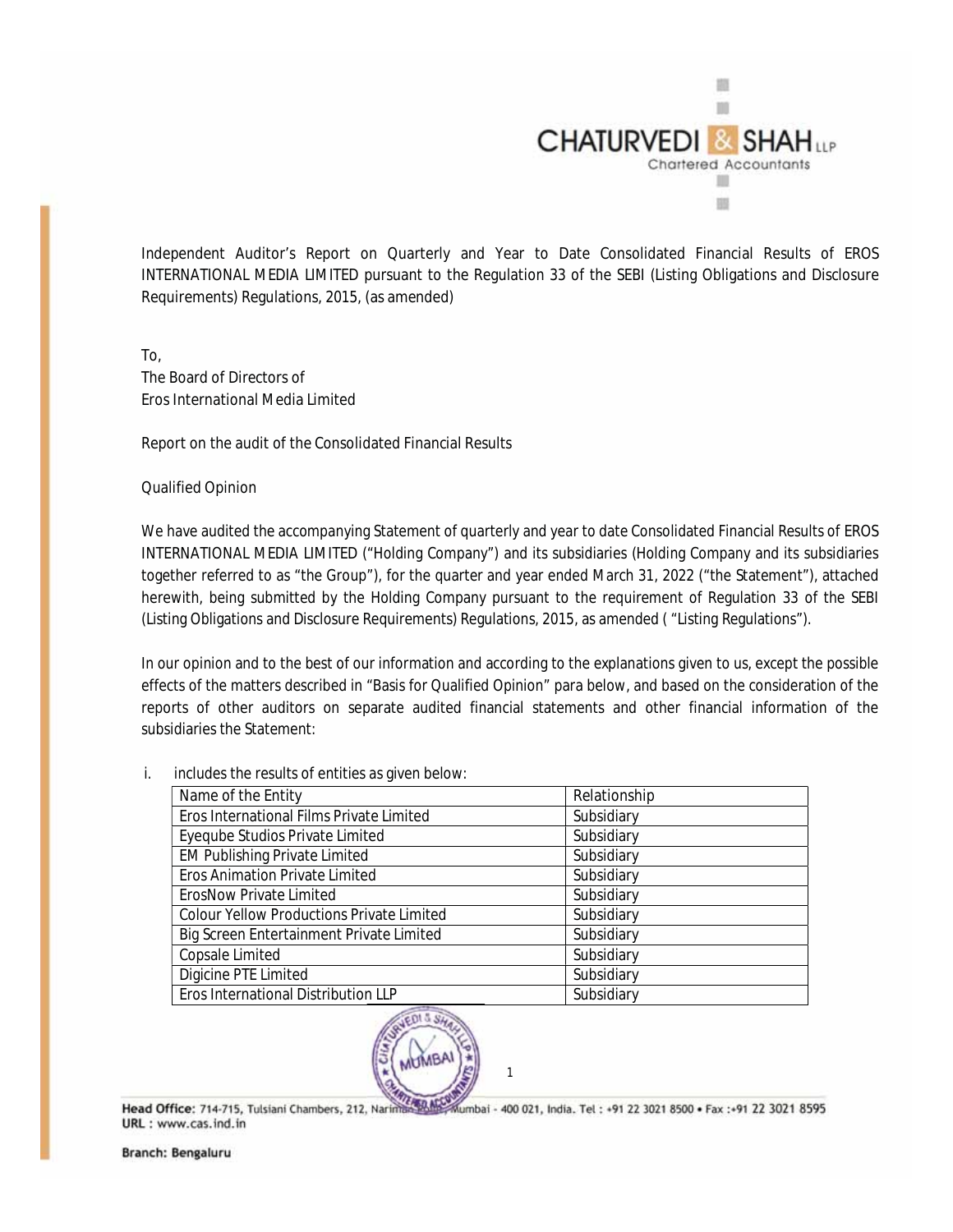

Independent Auditor's Report on Quarterly and Year to Date Consolidated Financial Results of EROS INTERNATIONAL MEDIA LIMITED pursuant to the Regulation 33 of the SEBI (Listing Obligations and Disclosure Requirements) Regulations, 2015, (as amended)

To, The Board of Directors of Eros International Media Limited

#### Report on the audit of the Consolidated Financial Results

#### Qualified Opinion

We have audited the accompanying Statement of quarterly and year to date Consolidated Financial Results of EROS INTERNATIONAL MEDIA LIMITED ("Holding Company") and its subsidiaries (Holding Company and its subsidiaries together referred to as "the Group"), for the quarter and year ended March 31, 2022 ("the Statement"), attached herewith, being submitted by the Holding Company pursuant to the requirement of Regulation 33 of the SEBI (Listing Obligations and Disclosure Requirements) Regulations, 2015, as amended ( "Listing Regulations").

In our opinion and to the best of our information and according to the explanations given to us, except the possible effects of the matters described in "Basis for Qualified Opinion" para below, and based on the consideration of the reports of other auditors on separate audited financial statements and other financial information of the subsidiaries the Statement:

i. includes the results of entities as given below:

| Name of the Entity                               | Relationship |  |
|--------------------------------------------------|--------------|--|
| Eros International Films Private Limited         | Subsidiary   |  |
| Eyeqube Studios Private Limited                  | Subsidiary   |  |
| <b>EM Publishing Private Limited</b>             | Subsidiary   |  |
| Eros Animation Private Limited                   | Subsidiary   |  |
| ErosNow Private Limited                          | Subsidiary   |  |
| <b>Colour Yellow Productions Private Limited</b> | Subsidiary   |  |
| Big Screen Entertainment Private Limited         | Subsidiary   |  |
| Copsale Limited                                  | Subsidiary   |  |
| Digicine PTE Limited                             | Subsidiary   |  |
| Eros International Distribution LLP              | Subsidiary   |  |

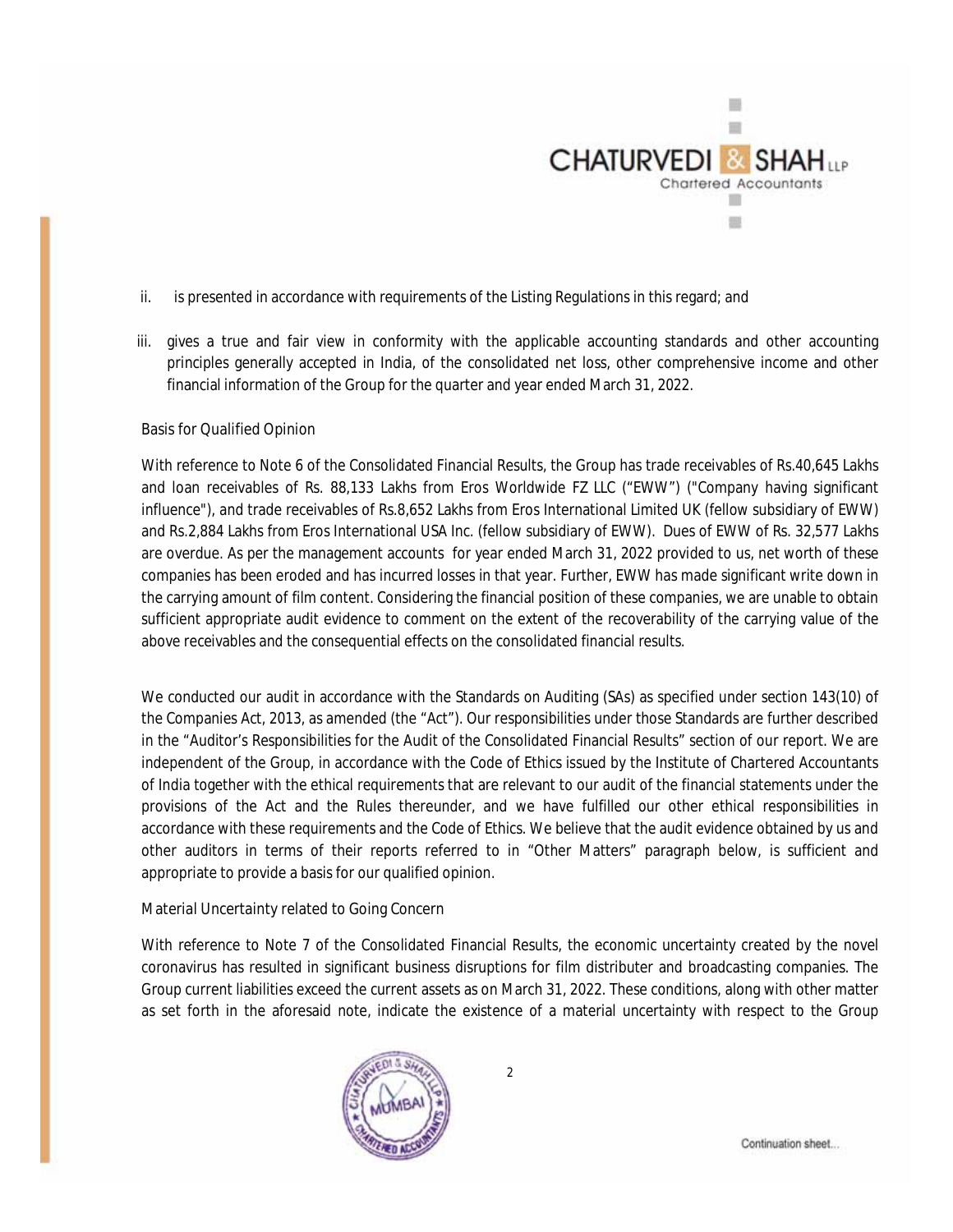

- ii. is presented in accordance with requirements of the Listing Regulations in this regard; and
- iii. gives a true and fair view in conformity with the applicable accounting standards and other accounting principles generally accepted in India, of the consolidated net loss, other comprehensive income and other financial information of the Group for the quarter and year ended March 31, 2022.

#### Basis for Qualified Opinion

With reference to Note 6 of the Consolidated Financial Results, the Group has trade receivables of Rs.40,645 Lakhs and loan receivables of Rs. 88,133 Lakhs from Eros Worldwide FZ LLC ("EWW") ("Company having significant influence"), and trade receivables of Rs.8,652 Lakhs from Eros International Limited UK (fellow subsidiary of EWW) and Rs.2,884 Lakhs from Eros International USA Inc. (fellow subsidiary of EWW). Dues of EWW of Rs. 32,577 Lakhs are overdue. As per the management accounts for year ended March 31, 2022 provided to us, net worth of these companies has been eroded and has incurred losses in that year. Further, EWW has made significant write down in the carrying amount of film content. Considering the financial position of these companies, we are unable to obtain sufficient appropriate audit evidence to comment on the extent of the recoverability of the carrying value of the above receivables and the consequential effects on the consolidated financial results.

We conducted our audit in accordance with the Standards on Auditing (SAs) as specified under section 143(10) of the Companies Act, 2013, as amended (the "Act"). Our responsibilities under those Standards are further described in the "Auditor's Responsibilities for the Audit of the Consolidated Financial Results" section of our report. We are independent of the Group, in accordance with the Code of Ethics issued by the Institute of Chartered Accountants of India together with the ethical requirements that are relevant to our audit of the financial statements under the provisions of the Act and the Rules thereunder, and we have fulfilled our other ethical responsibilities in accordance with these requirements and the Code of Ethics. We believe that the audit evidence obtained by us and other auditors in terms of their reports referred to in "Other Matters" paragraph below, is sufficient and appropriate to provide a basis for our qualified opinion.

#### Material Uncertainty related to Going Concern

With reference to Note 7 of the Consolidated Financial Results, the economic uncertainty created by the novel coronavirus has resulted in significant business disruptions for film distributer and broadcasting companies. The Group current liabilities exceed the current assets as on March 31, 2022. These conditions, along with other matter as set forth in the aforesaid note, indicate the existence of a material uncertainty with respect to the Group

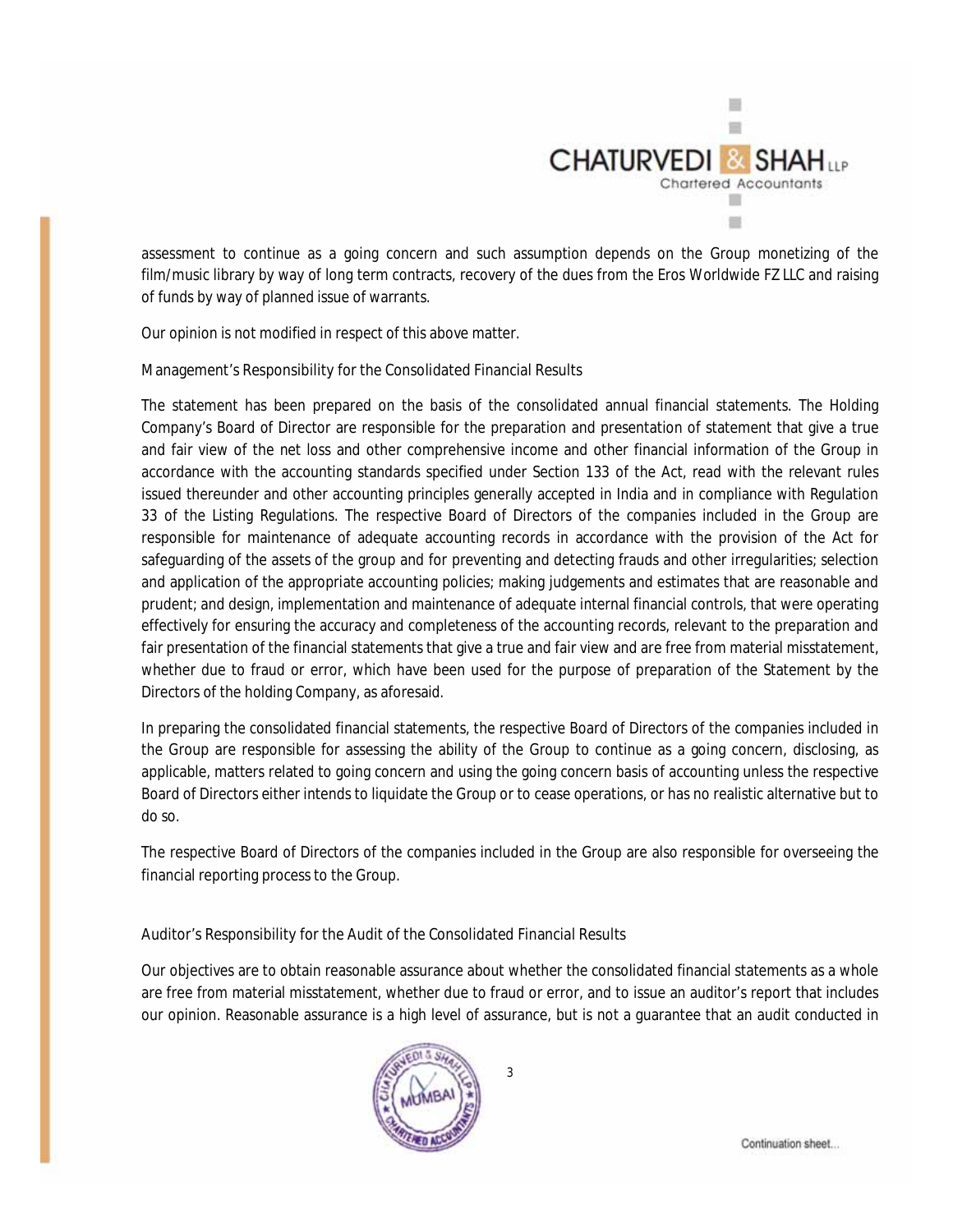

assessment to continue as a going concern and such assumption depends on the Group monetizing of the film/music library by way of long term contracts, recovery of the dues from the Eros Worldwide FZ LLC and raising of funds by way of planned issue of warrants.

Our opinion is not modified in respect of this above matter.

#### Management's Responsibility for the Consolidated Financial Results

The statement has been prepared on the basis of the consolidated annual financial statements. The Holding Company's Board of Director are responsible for the preparation and presentation of statement that give a true and fair view of the net loss and other comprehensive income and other financial information of the Group in accordance with the accounting standards specified under Section 133 of the Act, read with the relevant rules issued thereunder and other accounting principles generally accepted in India and in compliance with Regulation 33 of the Listing Regulations. The respective Board of Directors of the companies included in the Group are responsible for maintenance of adequate accounting records in accordance with the provision of the Act for safeguarding of the assets of the group and for preventing and detecting frauds and other irregularities; selection and application of the appropriate accounting policies; making judgements and estimates that are reasonable and prudent; and design, implementation and maintenance of adequate internal financial controls, that were operating effectively for ensuring the accuracy and completeness of the accounting records, relevant to the preparation and fair presentation of the financial statements that give a true and fair view and are free from material misstatement, whether due to fraud or error, which have been used for the purpose of preparation of the Statement by the Directors of the holding Company, as aforesaid.

In preparing the consolidated financial statements, the respective Board of Directors of the companies included in the Group are responsible for assessing the ability of the Group to continue as a going concern, disclosing, as applicable, matters related to going concern and using the going concern basis of accounting unless the respective Board of Directors either intends to liquidate the Group or to cease operations, or has no realistic alternative but to do so.

The respective Board of Directors of the companies included in the Group are also responsible for overseeing the financial reporting process to the Group.

#### Auditor's Responsibility for the Audit of the Consolidated Financial Results

Our objectives are to obtain reasonable assurance about whether the consolidated financial statements as a whole are free from material misstatement, whether due to fraud or error, and to issue an auditor's report that includes our opinion. Reasonable assurance is a high level of assurance, but is not a guarantee that an audit conducted in

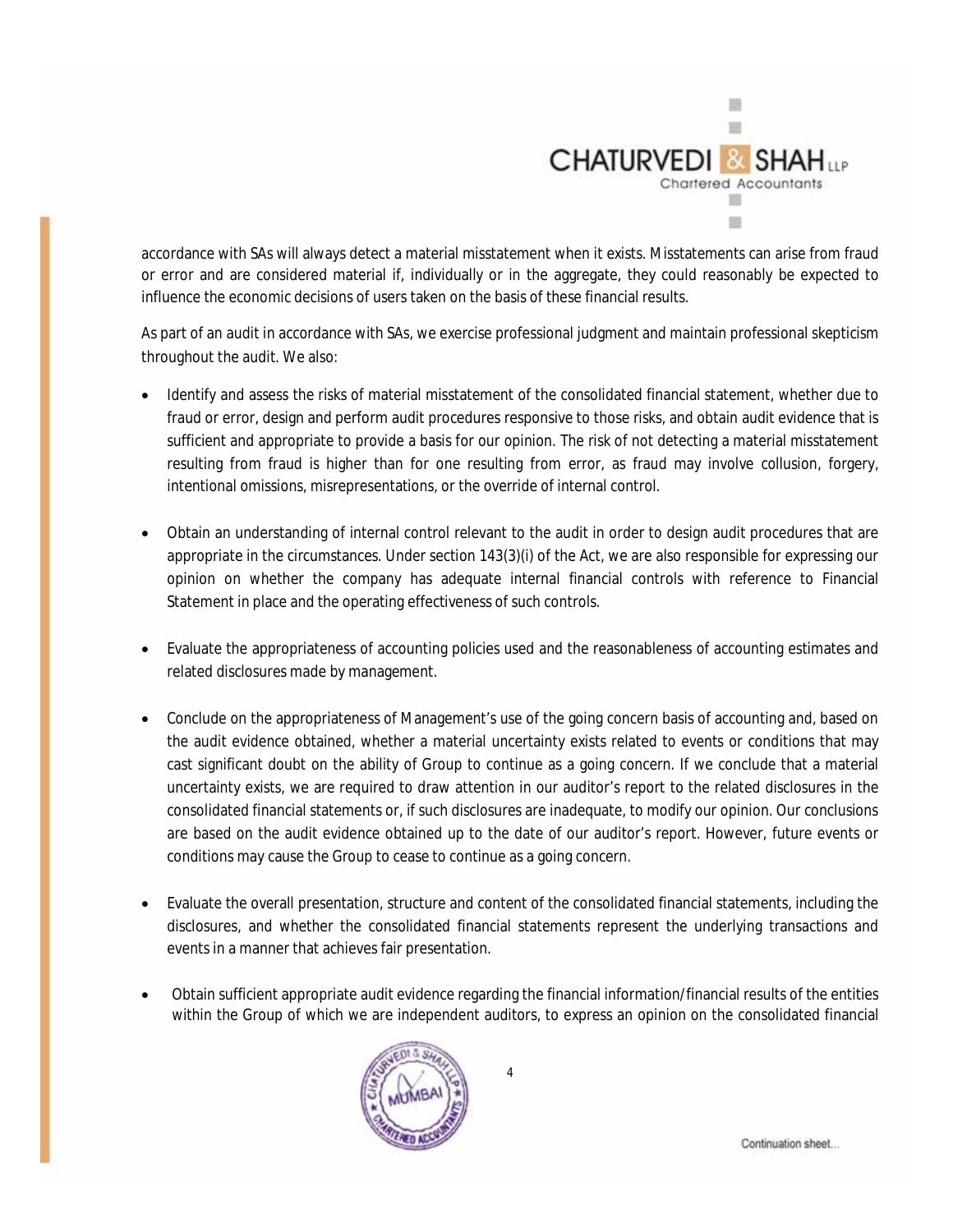

accordance with SAs will always detect a material misstatement when it exists. Misstatements can arise from fraud or error and are considered material if, individually or in the aggregate, they could reasonably be expected to influence the economic decisions of users taken on the basis of these financial results.

As part of an audit in accordance with SAs, we exercise professional judgment and maintain professional skepticism throughout the audit. We also:

- Identify and assess the risks of material misstatement of the consolidated financial statement, whether due to fraud or error, design and perform audit procedures responsive to those risks, and obtain audit evidence that is sufficient and appropriate to provide a basis for our opinion. The risk of not detecting a material misstatement resulting from fraud is higher than for one resulting from error, as fraud may involve collusion, forgery, intentional omissions, misrepresentations, or the override of internal control.
- Obtain an understanding of internal control relevant to the audit in order to design audit procedures that are appropriate in the circumstances. Under section 143(3)(i) of the Act, we are also responsible for expressing our opinion on whether the company has adequate internal financial controls with reference to Financial Statement in place and the operating effectiveness of such controls.
- Evaluate the appropriateness of accounting policies used and the reasonableness of accounting estimates and related disclosures made by management.
- Conclude on the appropriateness of Management's use of the going concern basis of accounting and, based on the audit evidence obtained, whether a material uncertainty exists related to events or conditions that may cast significant doubt on the ability of Group to continue as a going concern. If we conclude that a material uncertainty exists, we are required to draw attention in our auditor's report to the related disclosures in the consolidated financial statements or, if such disclosures are inadequate, to modify our opinion. Our conclusions are based on the audit evidence obtained up to the date of our auditor's report. However, future events or conditions may cause the Group to cease to continue as a going concern.
- Evaluate the overall presentation, structure and content of the consolidated financial statements, including the disclosures, and whether the consolidated financial statements represent the underlying transactions and events in a manner that achieves fair presentation.
- Obtain sufficient appropriate audit evidence regarding the financial information/financial results of the entities within the Group of which we are independent auditors, to express an opinion on the consolidated financial

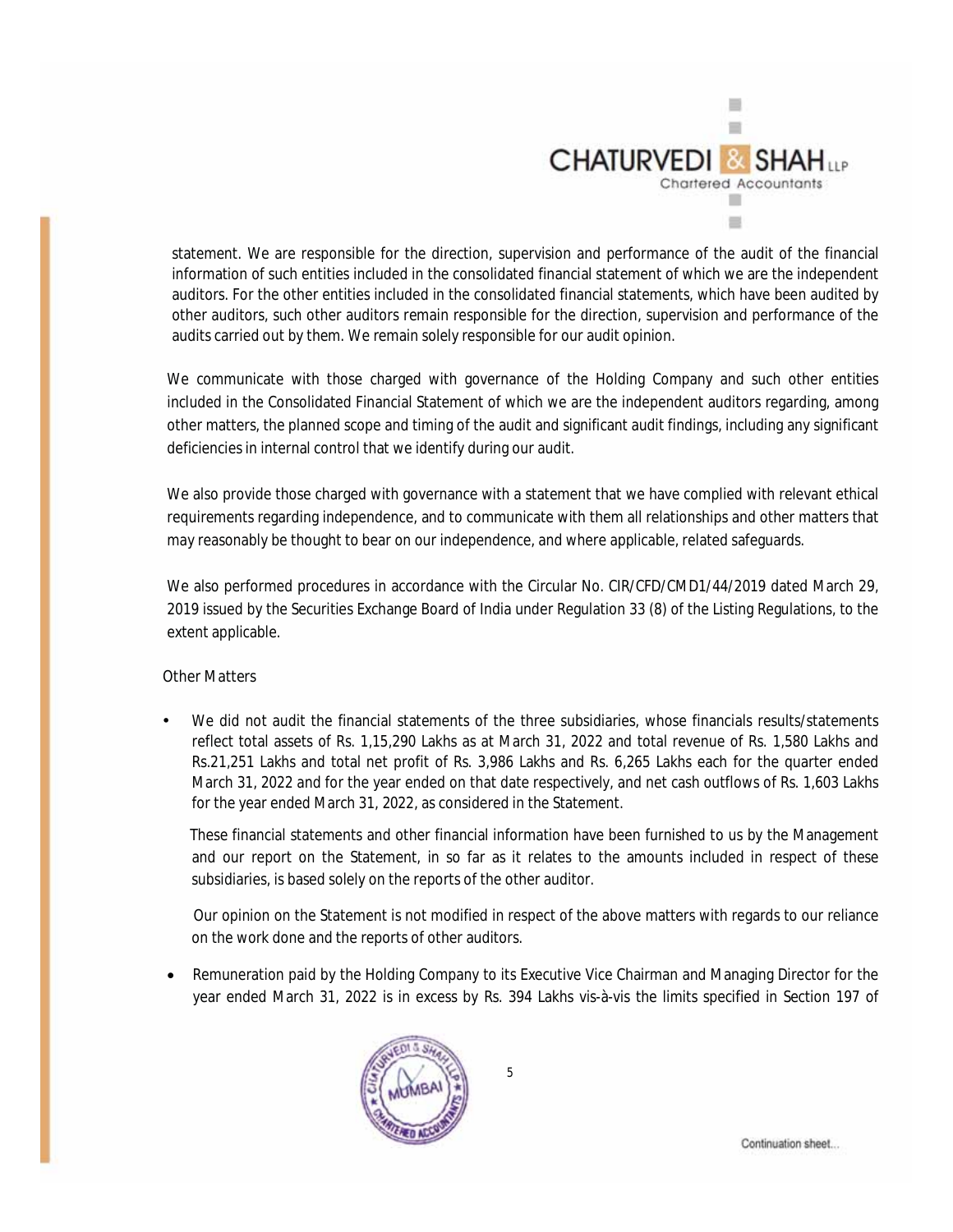

statement. We are responsible for the direction, supervision and performance of the audit of the financial information of such entities included in the consolidated financial statement of which we are the independent auditors. For the other entities included in the consolidated financial statements, which have been audited by other auditors, such other auditors remain responsible for the direction, supervision and performance of the audits carried out by them. We remain solely responsible for our audit opinion.

We communicate with those charged with governance of the Holding Company and such other entities included in the Consolidated Financial Statement of which we are the independent auditors regarding, among other matters, the planned scope and timing of the audit and significant audit findings, including any significant deficiencies in internal control that we identify during our audit.

We also provide those charged with governance with a statement that we have complied with relevant ethical requirements regarding independence, and to communicate with them all relationships and other matters that may reasonably be thought to bear on our independence, and where applicable, related safeguards.

We also performed procedures in accordance with the Circular No. CIR/CFD/CMD1/44/2019 dated March 29, 2019 issued by the Securities Exchange Board of India under Regulation 33 (8) of the Listing Regulations, to the extent applicable.

### Other Matters

We did not audit the financial statements of the three subsidiaries, whose financials results/statements reflect total assets of Rs. 1,15,290 Lakhs as at March 31, 2022 and total revenue of Rs. 1,580 Lakhs and Rs.21,251 Lakhs and total net profit of Rs. 3,986 Lakhs and Rs. 6,265 Lakhs each for the quarter ended March 31, 2022 and for the year ended on that date respectively, and net cash outflows of Rs. 1,603 Lakhs for the year ended March 31, 2022, as considered in the Statement.

These financial statements and other financial information have been furnished to us by the Management and our report on the Statement, in so far as it relates to the amounts included in respect of these subsidiaries, is based solely on the reports of the other auditor.

Our opinion on the Statement is not modified in respect of the above matters with regards to our reliance on the work done and the reports of other auditors.

x Remuneration paid by the Holding Company to its Executive Vice Chairman and Managing Director for the year ended March 31, 2022 is in excess by Rs. 394 Lakhs vis-à-vis the limits specified in Section 197 of

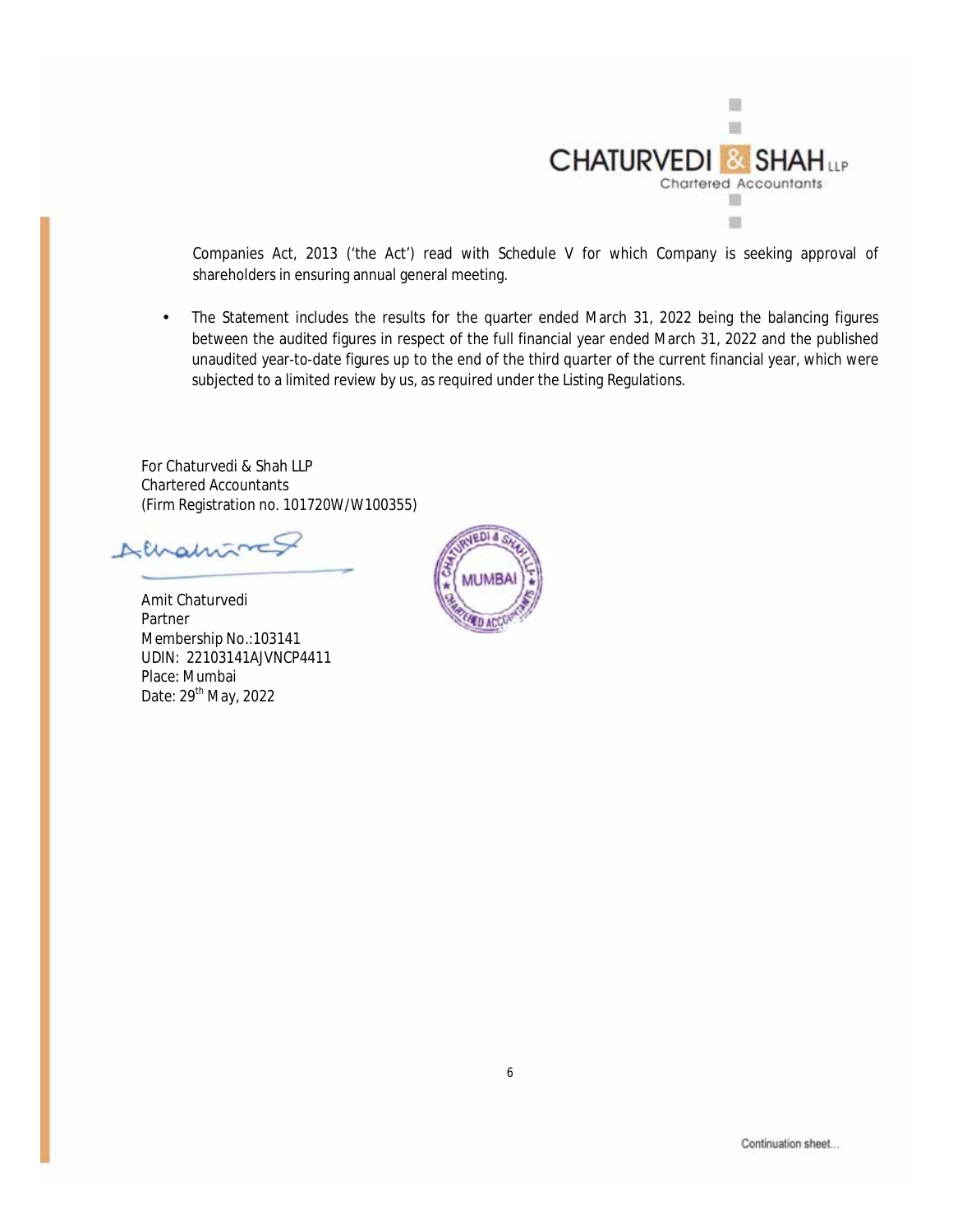

Companies Act, 2013 ('the Act') read with Schedule V for which Company is seeking approval of shareholders in ensuring annual general meeting.

The Statement includes the results for the quarter ended March 31, 2022 being the balancing figures between the audited figures in respect of the full financial year ended March 31, 2022 and the published unaudited year-to-date figures up to the end of the third quarter of the current financial year, which were subjected to a limited review by us, as required under the Listing Regulations.

For Chaturvedi & Shah LLP Chartered Accountants (Firm Registration no. 101720W/W100355)

Alhaming

Amit Chaturvedi Partner Membership No.:103141 UDIN: 22103141AJVNCP4411 Place: Mumbai Date: 29<sup>th</sup> May, 2022

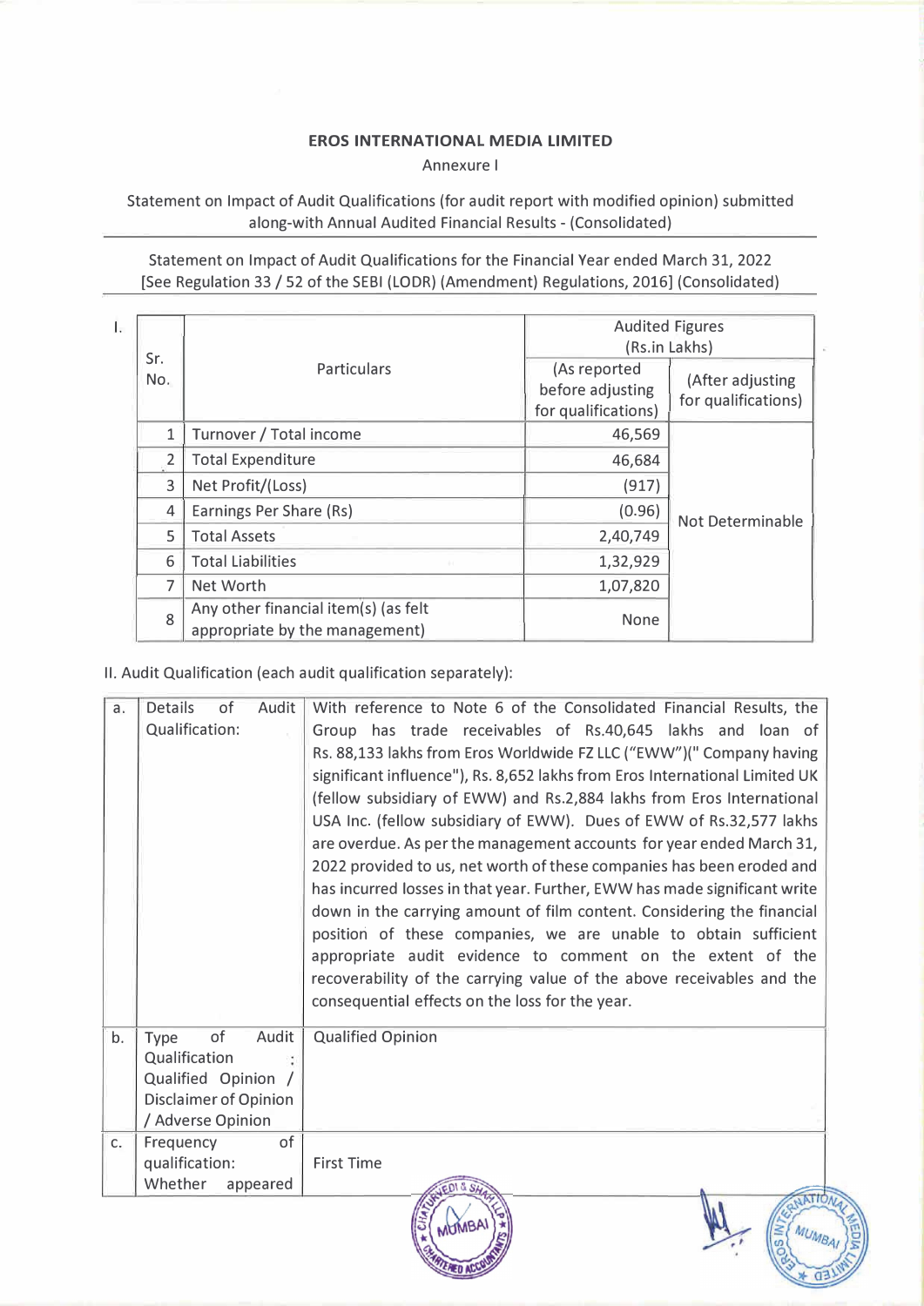### **EROS INTERNATIONAL MEDIA LIMITED**

Annexure I

## Statement on Impact of Audit Qualifications (for audit report with modified opinion) submitted along-with Annual Audited Financial Results - (Consolidated)

Statement on Impact of Audit Qualifications for the Financial Year ended March 31, 2022 [See Regulation 33 / 52 of the SEBI (LODR) (Amendment) Regulations, 2016] (Consolidated)

| Sr.<br>No.   |                                                                        | <b>Audited Figures</b><br>(Rs.in Lakhs)                 |                                         |  |
|--------------|------------------------------------------------------------------------|---------------------------------------------------------|-----------------------------------------|--|
|              | <b>Particulars</b>                                                     | (As reported<br>before adjusting<br>for qualifications) | (After adjusting<br>for qualifications) |  |
| $\mathbf{1}$ | Turnover / Total income                                                | 46,569                                                  |                                         |  |
|              | <b>Total Expenditure</b>                                               | 46,684                                                  |                                         |  |
| 3            | Net Profit/(Loss)                                                      | (917)                                                   |                                         |  |
| 4            | Earnings Per Share (Rs)                                                | (0.96)                                                  | Not Determinable                        |  |
| 5            | <b>Total Assets</b>                                                    | 2,40,749                                                |                                         |  |
| 6            | <b>Total Liabilities</b>                                               | 1,32,929                                                |                                         |  |
| 7            | Net Worth                                                              | 1,07,820                                                |                                         |  |
| 8            | Any other financial item(s) (as felt<br>appropriate by the management) | <b>None</b>                                             |                                         |  |

II. Audit Qualification (each audit qualification separately):

| a <sub>1</sub> | <b>Details</b><br>of<br>Audit | With reference to Note 6 of the Consolidated Financial Results, the         |
|----------------|-------------------------------|-----------------------------------------------------------------------------|
|                | <b>Qualification:</b>         | Group has trade receivables of Rs.40,645 lakhs and loan of                  |
|                |                               | Rs. 88,133 lakhs from Eros Worldwide FZ LLC ("EWW")(" Company having        |
|                |                               | significant influence"), Rs. 8,652 lakhs from Eros International Limited UK |
|                |                               | (fellow subsidiary of EWW) and Rs.2,884 lakhs from Eros International       |
|                |                               | USA Inc. (fellow subsidiary of EWW). Dues of EWW of Rs.32,577 lakhs         |
|                |                               | are overdue. As per the management accounts for year ended March 31,        |
|                |                               | 2022 provided to us, net worth of these companies has been eroded and       |
|                |                               | has incurred losses in that year. Further, EWW has made significant write   |
|                |                               | down in the carrying amount of film content. Considering the financial      |
|                |                               | position of these companies, we are unable to obtain sufficient             |
|                |                               | appropriate audit evidence to comment on the extent of the                  |
|                |                               | recoverability of the carrying value of the above receivables and the       |
|                |                               | consequential effects on the loss for the year.                             |
| b.             | of<br>Audit<br>Type           | <b>Qualified Opinion</b>                                                    |
|                | Qualification                 |                                                                             |
|                | Qualified Opinion /           |                                                                             |
|                | <b>Disclaimer of Opinion</b>  |                                                                             |
|                | / Adverse Opinion             |                                                                             |
| $C_{\tau}$     | of<br>Frequency               |                                                                             |
|                | qualification:                | <b>First Time</b>                                                           |
|                | Whether<br>appeared           |                                                                             |
|                |                               |                                                                             |